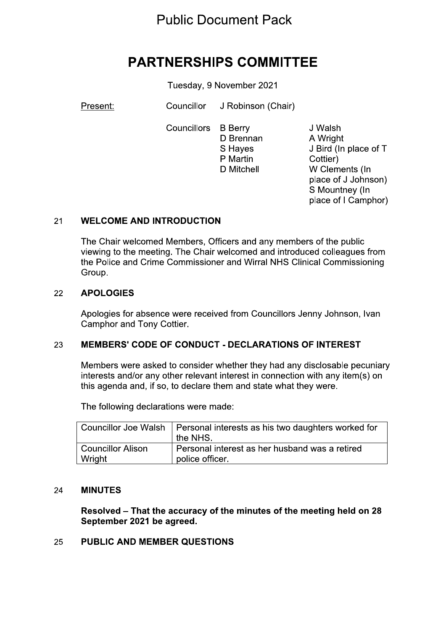## **Public Document Pack**

# **PARTNERSHIPS COMMITTEE**

Tuesday, 9 November 2021

Present:

Councillor J Robinson (Chair)

**Councillors B** Berry D Brennan S Haves P Martin D Mitchell

J Walsh A Wright J Bird (In place of T Cottier) W Clements (In place of J Johnson) S Mountney (In place of I Camphor)

#### **WELCOME AND INTRODUCTION**  $21$

The Chair welcomed Members, Officers and any members of the public viewing to the meeting. The Chair welcomed and introduced colleagues from the Police and Crime Commissioner and Wirral NHS Clinical Commissioning Group.

#### **APOLOGIES** 22

Apologies for absence were received from Councillors Jenny Johnson, Ivan Camphor and Tony Cottier.

#### 23 **MEMBERS' CODE OF CONDUCT - DECLARATIONS OF INTEREST**

Members were asked to consider whether they had any disclosable pecuniary interests and/or any other relevant interest in connection with any item(s) on this agenda and, if so, to declare them and state what they were.

The following declarations were made:

|                   | Councillor Joe Walsh   Personal interests as his two daughters worked for<br>the NHS. |
|-------------------|---------------------------------------------------------------------------------------|
| Councillor Alison | Personal interest as her husband was a retired                                        |
| Wright            | police officer.                                                                       |

#### **MINUTES** 24

Resolved – That the accuracy of the minutes of the meeting held on 28 September 2021 be agreed.

#### **PUBLIC AND MEMBER QUESTIONS** 25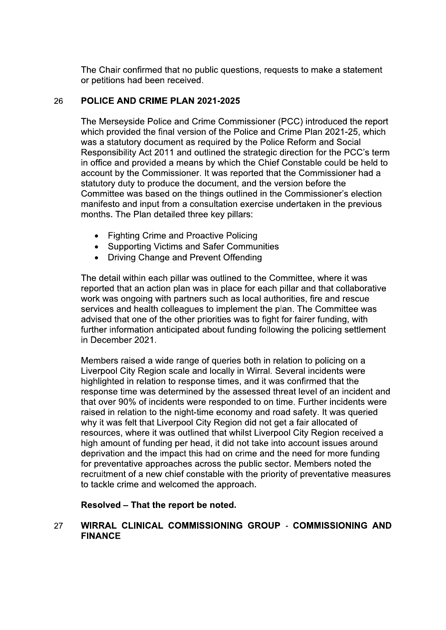The Chair confirmed that no public questions, requests to make a statement or petitions had been received.

#### POLICE AND CRIME PLAN 2021-2025 26

The Merseyside Police and Crime Commissioner (PCC) introduced the report which provided the final version of the Police and Crime Plan 2021-25, which was a statutory document as required by the Police Reform and Social Responsibility Act 2011 and outlined the strategic direction for the PCC's term in office and provided a means by which the Chief Constable could be held to account by the Commissioner. It was reported that the Commissioner had a statutory duty to produce the document, and the version before the Committee was based on the things outlined in the Commissioner's election manifesto and input from a consultation exercise undertaken in the previous months. The Plan detailed three key pillars:

- Fighting Crime and Proactive Policing
- **Supporting Victims and Safer Communities**
- Driving Change and Prevent Offending

The detail within each pillar was outlined to the Committee, where it was reported that an action plan was in place for each pillar and that collaborative work was ongoing with partners such as local authorities, fire and rescue services and health colleagues to implement the plan. The Committee was advised that one of the other priorities was to fight for fairer funding, with further information anticipated about funding following the policing settlement in December 2021.

Members raised a wide range of queries both in relation to policing on a Liverpool City Region scale and locally in Wirral. Several incidents were highlighted in relation to response times, and it was confirmed that the response time was determined by the assessed threat level of an incident and that over 90% of incidents were responded to on time. Further incidents were raised in relation to the night-time economy and road safety. It was queried why it was felt that Liverpool City Region did not get a fair allocated of resources, where it was outlined that whilst Liverpool City Region received a high amount of funding per head, it did not take into account issues around deprivation and the impact this had on crime and the need for more funding for preventative approaches across the public sector. Members noted the recruitment of a new chief constable with the priority of preventative measures to tackle crime and welcomed the approach.

## Resolved - That the report be noted.

### WIRRAL CLINICAL COMMISSIONING GROUP - COMMISSIONING AND 27 **FINANCE**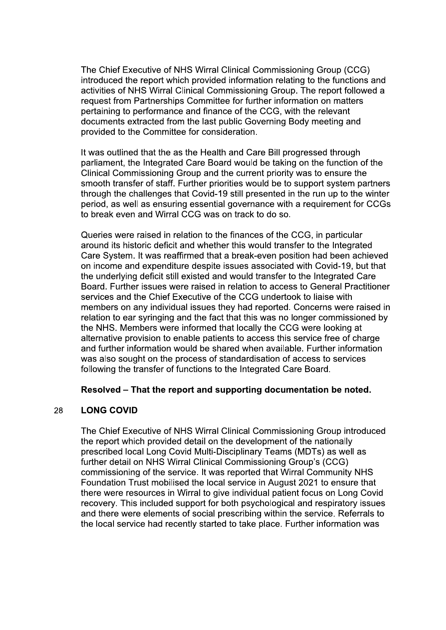The Chief Executive of NHS Wirral Clinical Commissioning Group (CCG) introduced the report which provided information relating to the functions and activities of NHS Wirral Clinical Commissioning Group. The report followed a request from Partnerships Committee for further information on matters pertaining to performance and finance of the CCG, with the relevant documents extracted from the last public Governing Body meeting and provided to the Committee for consideration.

It was outlined that the as the Health and Care Bill progressed through parliament, the Integrated Care Board would be taking on the function of the Clinical Commissioning Group and the current priority was to ensure the smooth transfer of staff. Further priorities would be to support system partners through the challenges that Covid-19 still presented in the run up to the winter period, as well as ensuring essential governance with a requirement for CCGs to break even and Wirral CCG was on track to do so.

Queries were raised in relation to the finances of the CCG, in particular around its historic deficit and whether this would transfer to the Integrated Care System. It was reaffirmed that a break-even position had been achieved on income and expenditure despite issues associated with Covid-19, but that the underlying deficit still existed and would transfer to the Integrated Care Board. Further issues were raised in relation to access to General Practitioner services and the Chief Executive of the CCG undertook to liaise with members on any individual issues they had reported. Concerns were raised in relation to ear syringing and the fact that this was no longer commissioned by the NHS. Members were informed that locally the CCG were looking at alternative provision to enable patients to access this service free of charge and further information would be shared when available. Further information was also sought on the process of standardisation of access to services following the transfer of functions to the Integrated Care Board.

### Resolved – That the report and supporting documentation be noted.

#### **LONG COVID** 28

The Chief Executive of NHS Wirral Clinical Commissioning Group introduced the report which provided detail on the development of the nationally prescribed local Long Covid Multi-Disciplinary Teams (MDTs) as well as further detail on NHS Wirral Clinical Commissioning Group's (CCG) commissioning of the service. It was reported that Wirral Community NHS Foundation Trust mobilised the local service in August 2021 to ensure that there were resources in Wirral to give individual patient focus on Long Covid recovery. This included support for both psychological and respiratory issues and there were elements of social prescribing within the service. Referrals to the local service had recently started to take place. Further information was